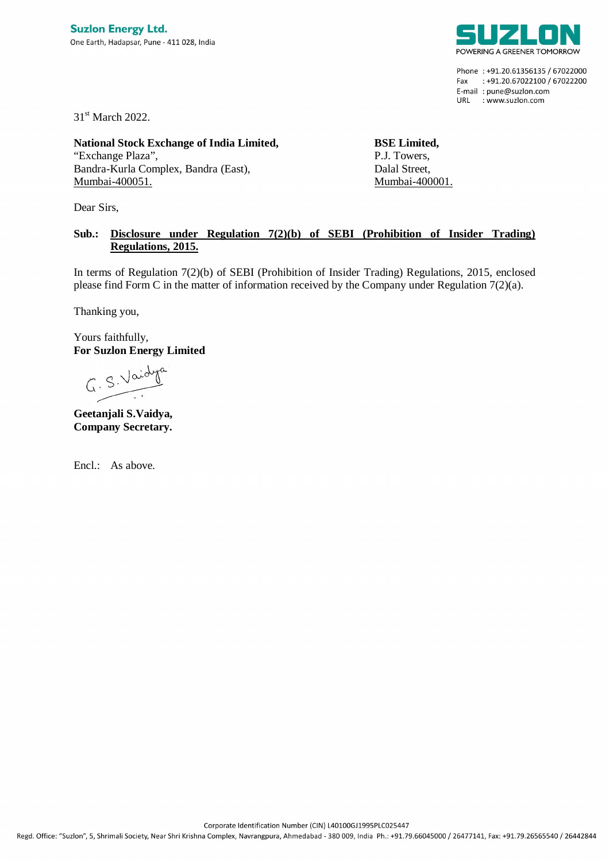

Phone: +91.20.61356135 / 67022000 Fax: +91.20.67022100 / 67022200 E-mail: pune@suzlon.com URL : www.suzlon.com

31<sup>st</sup> March 2022.

**National Stock Exchange of India Limited,** "Exchange Plaza", Bandra-Kurla Complex, Bandra (East), Mumbai-400051.

Dear Sirs,

**BSE Limited,** P.J. Towers, Dalal Street, Mumbai-400001.

## **Sub.: Disclosure under Regulation 7(2)(b) of SEBI (Prohibition of Insider Trading) Regulations, 2015.**

In terms of Regulation 7(2)(b) of SEBI (Prohibition of Insider Trading) Regulations, 2015, enclosed please find Form C in the matter of information received by the Company under Regulation 7(2)(a).

Thanking you,

Yours faithfully, **For Suzlon Energy Limited**

 $G. S. Vaid$ 

**Geetanjali S.Vaidya, Company Secretary.**

Encl.: As above.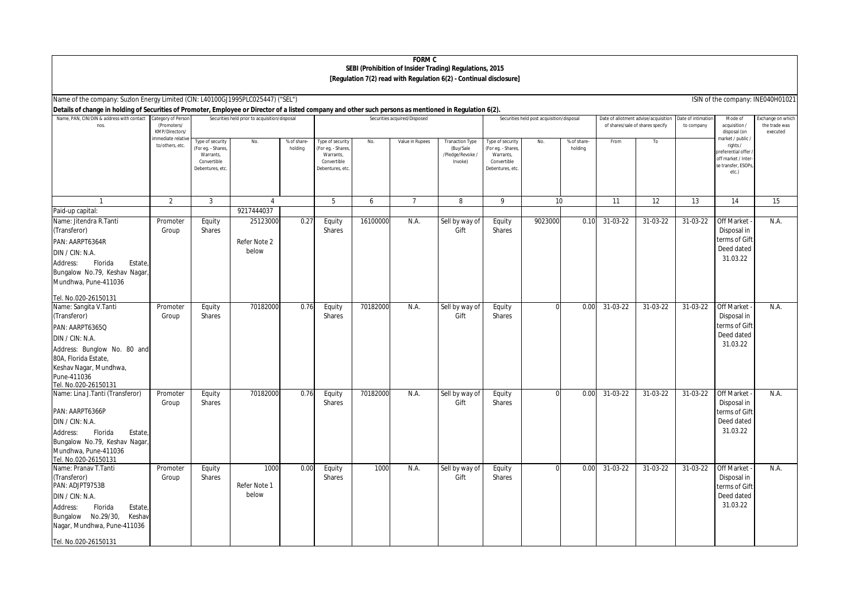## **FORM C SEBI (Prohibition of Insider Trading) Regulations, 2015 [Regulation 7(2) read with Regulation 6(2) - Continual disclosure]**

| Name of the company: Suzion Energy Limited (CIN: L40100GJ1995PLC025447) ("SEL")<br>ISIN of the company: INE040H01021                                     |                                                     |                                                                                     |              |                       |                                                                                       |          |                 |                                                                   |                                                                                      |          |                                                                          |          |                                  |                                          |                                                                                                          |      |
|----------------------------------------------------------------------------------------------------------------------------------------------------------|-----------------------------------------------------|-------------------------------------------------------------------------------------|--------------|-----------------------|---------------------------------------------------------------------------------------|----------|-----------------|-------------------------------------------------------------------|--------------------------------------------------------------------------------------|----------|--------------------------------------------------------------------------|----------|----------------------------------|------------------------------------------|----------------------------------------------------------------------------------------------------------|------|
| Details of change in holding of Securities of Promoter, Employee or Director of a listed company and other such persons as mentioned in Regulation 6(2). |                                                     |                                                                                     |              |                       |                                                                                       |          |                 |                                                                   |                                                                                      |          |                                                                          |          |                                  |                                          |                                                                                                          |      |
| Name, PAN, CIN/DIN & address with contact<br>nos                                                                                                         | Category of Person<br>(Promoters/<br>KMP/Directors/ | Securities held prior to acquisition/disposal                                       |              |                       | Securities acquired/Disposed                                                          |          |                 | Securities held post acquisition/disposal                         |                                                                                      |          | Date of allotment advise/acquisition<br>of shares/sale of shares specify |          | Date of intimation<br>to company | Mode of<br>acquisition /<br>disposal (on | Exchange on which<br>the trade was<br>executed                                                           |      |
|                                                                                                                                                          | mmediate relative<br>to/others, etc.                | Type of security<br>For eg. - Shares<br>Warrants,<br>Convertible<br>Debentures, etc | No.          | % of share<br>holding | Type of security<br>(For eg. - Shares,<br>Warrants,<br>Convertible<br>Debentures, etc | No.      | Value in Rupees | <b>Tranaction Type</b><br>(Buy/Sale<br>/Pledge/Revoke/<br>Invoke) | Type of security<br>For eg. - Shares,<br>Warrants,<br>Convertible<br>Debentures, etc | No.      | % of share-<br>holding                                                   | From     | To                               |                                          | market / public /<br>rights /<br>preferential offer<br>off market / Inter<br>se transfer, ESOPs<br>etc.) |      |
|                                                                                                                                                          | $\overline{2}$                                      | 3                                                                                   | 4            |                       | 5                                                                                     | 6        | $\overline{7}$  | 8                                                                 | 9                                                                                    | 10       |                                                                          | 11       | $\overline{12}$                  | 13                                       | 14                                                                                                       | 15   |
| Paid-up capital:                                                                                                                                         |                                                     |                                                                                     | 9217444037   |                       |                                                                                       |          |                 |                                                                   |                                                                                      |          |                                                                          |          |                                  |                                          |                                                                                                          |      |
| Name: Jitendra R.Tanti                                                                                                                                   | Promoter                                            | Equity                                                                              | 25123000     | 0.27                  | Equity                                                                                | 16100000 | N.A.            | Sell by way of                                                    | Equity                                                                               | 9023000  | 0.10                                                                     | 31-03-22 | 31-03-22                         | 31-03-22                                 | Off Market                                                                                               | N.A. |
| (Transferor)                                                                                                                                             | Group                                               | <b>Shares</b>                                                                       |              |                       | Shares                                                                                |          |                 | Gift                                                              | Shares                                                                               |          |                                                                          |          |                                  |                                          | Disposal in                                                                                              |      |
| PAN: AARPT6364R                                                                                                                                          |                                                     |                                                                                     | Refer Note 2 |                       |                                                                                       |          |                 |                                                                   |                                                                                      |          |                                                                          |          |                                  |                                          | terms of Gift                                                                                            |      |
| DIN / CIN: N.A.                                                                                                                                          |                                                     |                                                                                     | below        |                       |                                                                                       |          |                 |                                                                   |                                                                                      |          |                                                                          |          |                                  |                                          | Deed dated                                                                                               |      |
| Florida<br>Estate,<br>Address:                                                                                                                           |                                                     |                                                                                     |              |                       |                                                                                       |          |                 |                                                                   |                                                                                      |          |                                                                          |          |                                  |                                          | 31.03.22                                                                                                 |      |
| Bungalow No.79, Keshav Nagar                                                                                                                             |                                                     |                                                                                     |              |                       |                                                                                       |          |                 |                                                                   |                                                                                      |          |                                                                          |          |                                  |                                          |                                                                                                          |      |
| Mundhwa, Pune-411036                                                                                                                                     |                                                     |                                                                                     |              |                       |                                                                                       |          |                 |                                                                   |                                                                                      |          |                                                                          |          |                                  |                                          |                                                                                                          |      |
| Tel. No.020-26150131                                                                                                                                     |                                                     |                                                                                     |              |                       |                                                                                       |          |                 |                                                                   |                                                                                      |          |                                                                          |          |                                  |                                          |                                                                                                          |      |
| Name: Sangita V.Tanti                                                                                                                                    | Promoter                                            | Equity                                                                              | 70182000     | 0.76                  | Equity                                                                                | 70182000 | N.A             | Sell by way of                                                    | Equity                                                                               | $\Omega$ | 0.00                                                                     | 31-03-22 | $31-03-22$                       | 31-03-22                                 | Off Market                                                                                               | N.A. |
| (Transferor)                                                                                                                                             | Group                                               | Shares                                                                              |              |                       | Shares                                                                                |          |                 | Gift                                                              | Shares                                                                               |          |                                                                          |          |                                  |                                          | Disposal in                                                                                              |      |
| PAN: AARPT6365Q                                                                                                                                          |                                                     |                                                                                     |              |                       |                                                                                       |          |                 |                                                                   |                                                                                      |          |                                                                          |          |                                  |                                          | terms of Gift                                                                                            |      |
| DIN / CIN: N.A.                                                                                                                                          |                                                     |                                                                                     |              |                       |                                                                                       |          |                 |                                                                   |                                                                                      |          |                                                                          |          |                                  |                                          | Deed dated                                                                                               |      |
| Address: Bunglow No. 80 and                                                                                                                              |                                                     |                                                                                     |              |                       |                                                                                       |          |                 |                                                                   |                                                                                      |          |                                                                          |          |                                  |                                          | 31.03.22                                                                                                 |      |
| 80A, Florida Estate,                                                                                                                                     |                                                     |                                                                                     |              |                       |                                                                                       |          |                 |                                                                   |                                                                                      |          |                                                                          |          |                                  |                                          |                                                                                                          |      |
| Keshav Nagar, Mundhwa,                                                                                                                                   |                                                     |                                                                                     |              |                       |                                                                                       |          |                 |                                                                   |                                                                                      |          |                                                                          |          |                                  |                                          |                                                                                                          |      |
| Pune-411036                                                                                                                                              |                                                     |                                                                                     |              |                       |                                                                                       |          |                 |                                                                   |                                                                                      |          |                                                                          |          |                                  |                                          |                                                                                                          |      |
| Tel. No.020-26150131                                                                                                                                     |                                                     |                                                                                     |              |                       |                                                                                       |          |                 |                                                                   |                                                                                      |          |                                                                          |          |                                  |                                          |                                                                                                          |      |
| Name: Lina J.Tanti (Transferor)                                                                                                                          | Promoter                                            | Equity                                                                              | 70182000     | 0.76                  | Equity                                                                                | 70182000 | N.A.            | Sell by way of                                                    | Equity                                                                               | $\Omega$ | 0.00                                                                     | 31-03-22 | 31-03-22                         | $31-03-22$                               | <b>Off Market</b>                                                                                        | N.A. |
| PAN: AARPT6366P                                                                                                                                          | Group                                               | Shares                                                                              |              |                       | Shares                                                                                |          |                 | Gift                                                              | Shares                                                                               |          |                                                                          |          |                                  |                                          | Disposal in<br>terms of Gift                                                                             |      |
| DIN / CIN: N.A.                                                                                                                                          |                                                     |                                                                                     |              |                       |                                                                                       |          |                 |                                                                   |                                                                                      |          |                                                                          |          |                                  |                                          | Deed dated                                                                                               |      |
| Florida<br>Address:<br>Estate,                                                                                                                           |                                                     |                                                                                     |              |                       |                                                                                       |          |                 |                                                                   |                                                                                      |          |                                                                          |          |                                  |                                          | 31.03.22                                                                                                 |      |
| Bungalow No.79, Keshav Nagar,                                                                                                                            |                                                     |                                                                                     |              |                       |                                                                                       |          |                 |                                                                   |                                                                                      |          |                                                                          |          |                                  |                                          |                                                                                                          |      |
| Mundhwa, Pune-411036                                                                                                                                     |                                                     |                                                                                     |              |                       |                                                                                       |          |                 |                                                                   |                                                                                      |          |                                                                          |          |                                  |                                          |                                                                                                          |      |
| Tel. No.020-26150131                                                                                                                                     |                                                     |                                                                                     |              |                       |                                                                                       |          |                 |                                                                   |                                                                                      |          |                                                                          |          |                                  |                                          |                                                                                                          |      |
| Name: Pranav T.Tanti                                                                                                                                     | Promoter                                            | Equity                                                                              | 1000         | 0.00                  | Equity                                                                                | 1000     | N.A.            | Sell by way of                                                    | Equity                                                                               |          | 0.00                                                                     | 31-03-22 | 31-03-22                         | 31-03-22                                 | Off Market                                                                                               | N.A. |
| (Transferor)                                                                                                                                             | Group                                               | Shares                                                                              |              |                       | Shares                                                                                |          |                 | Gift                                                              | Shares                                                                               |          |                                                                          |          |                                  |                                          | Disposal in                                                                                              |      |
| PAN: ADJPT9753B                                                                                                                                          |                                                     |                                                                                     | Refer Note 1 |                       |                                                                                       |          |                 |                                                                   |                                                                                      |          |                                                                          |          |                                  |                                          | terms of Gift                                                                                            |      |
| DIN / CIN: N.A.                                                                                                                                          |                                                     |                                                                                     | below        |                       |                                                                                       |          |                 |                                                                   |                                                                                      |          |                                                                          |          |                                  |                                          | Deed dated                                                                                               |      |
| Address:<br>Florida<br>Estate,                                                                                                                           |                                                     |                                                                                     |              |                       |                                                                                       |          |                 |                                                                   |                                                                                      |          |                                                                          |          |                                  |                                          | 31.03.22                                                                                                 |      |
| Bungalow No.29/30,<br>Keshav                                                                                                                             |                                                     |                                                                                     |              |                       |                                                                                       |          |                 |                                                                   |                                                                                      |          |                                                                          |          |                                  |                                          |                                                                                                          |      |
| Nagar, Mundhwa, Pune-411036                                                                                                                              |                                                     |                                                                                     |              |                       |                                                                                       |          |                 |                                                                   |                                                                                      |          |                                                                          |          |                                  |                                          |                                                                                                          |      |
| Tel. No.020-26150131                                                                                                                                     |                                                     |                                                                                     |              |                       |                                                                                       |          |                 |                                                                   |                                                                                      |          |                                                                          |          |                                  |                                          |                                                                                                          |      |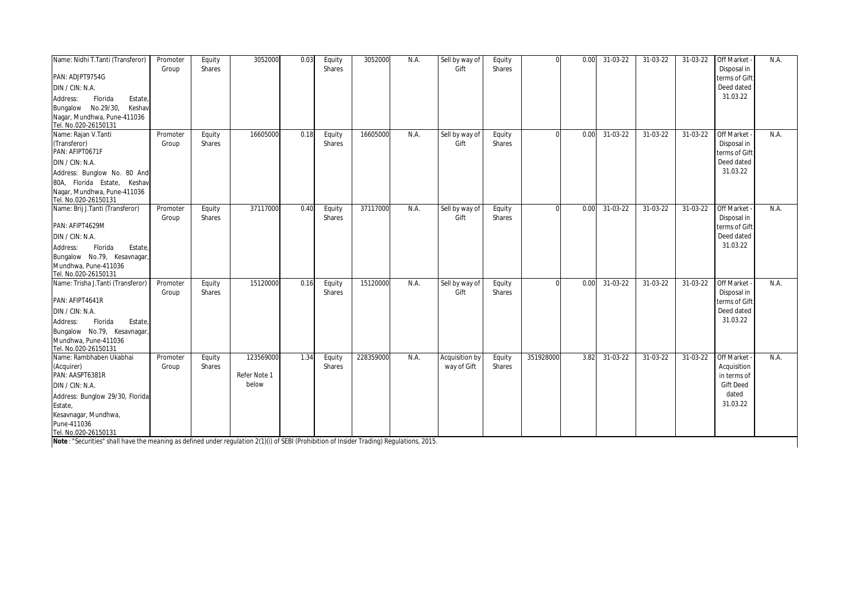| Name: Nidhi T.Tanti (Transferor)<br>PAN: ADJPT9754G<br>DIN / CIN: N.A.<br>Address:<br>Florida<br>Estate,<br>Bungalow No.29/30,<br>Keshav<br>Nagar, Mundhwa, Pune-411036<br>Tel. No.020-26150131 | Promoter<br>Group | Equity<br>Shares | 3052000                            | 0.03 | Equity<br>Shares | 3052000   | N.A. | Sell by way of<br>Gift        | Equity<br>Shares |           | 0.00 | 31-03-22       | 31-03-22 | 31-03-22   | Off Market -<br>Disposal in<br>terms of Gift<br>Deed dated<br>31.03.22            | N.A  |
|-------------------------------------------------------------------------------------------------------------------------------------------------------------------------------------------------|-------------------|------------------|------------------------------------|------|------------------|-----------|------|-------------------------------|------------------|-----------|------|----------------|----------|------------|-----------------------------------------------------------------------------------|------|
| Name: Rajan V.Tanti<br>(Transferor)<br>PAN: AFIPT0671F<br>DIN / CIN: N.A.<br>Address: Bunglow No. 80 And<br>80A, Florida Estate, Keshav<br>Nagar, Mundhwa, Pune-411036<br>Tel. No.020-26150131  | Promoter<br>Group | Equity<br>Shares | 16605000                           | 0.18 | Equity<br>Shares | 16605000  | N.A. | Sell by way of<br>Gift        | Equity<br>Shares | $\Omega$  | 0.00 | $31-03-22$     | 31-03-22 | 31-03-22   | <b>Off Market</b><br>Disposal in<br>terms of Gift<br>Deed dated<br>31.03.22       | N.A. |
| Name: Brij J.Tanti (Transferor)<br>PAN: AFIPT4629M<br>DIN / CIN: N.A.<br>Florida<br>Address:<br>Estate,<br>Bungalow No.79, Kesavnagar,<br>Mundhwa, Pune-411036<br>Tel. No.020-26150131          | Promoter<br>Group | Equity<br>Shares | 37117000                           | 0.40 | Equity<br>Shares | 37117000  | N.A. | Sell by way of<br>Gift        | Equity<br>Shares | $\Omega$  | 0.00 | 31-03-22       | 31-03-22 | 31-03-22   | <b>Off Market</b><br>Disposal in<br>terms of Gift<br>Deed dated<br>31.03.22       | N.A. |
| Name: Trisha J.Tanti (Transferor)<br>PAN: AFIPT4641R<br>DIN / CIN: N.A.<br>Florida<br>Estate,<br>Address:<br>Bungalow No.79, Kesavnagar,<br>Mundhwa, Pune-411036<br>Tel. No.020-26150131        | Promoter<br>Group | Equity<br>Shares | 15120000                           | 0.16 | Equity<br>Shares | 15120000  | N.A. | Sell by way of<br>Gift        | Equity<br>Shares | $\Omega$  | 0.00 | $31 - 03 - 22$ | 31-03-22 | 31-03-22   | <b>Off Market</b><br>Disposal in<br>terms of Gift<br>Deed dated<br>31.03.22       | N.A. |
| Name: Rambhaben Ukabhai<br>(Acquirer)<br>PAN: AASPT6381R<br>DIN / CIN: N.A.<br>Address: Bunglow 29/30, Florida<br>Estate,<br>Kesavnagar, Mundhwa,<br>Pune-411036<br>Tel. No.020-26150131        | Promoter<br>Group | Equity<br>Shares | 123569000<br>Refer Note 1<br>below | 1.34 | Equity<br>Shares | 228359000 | N.A. | Acquisition by<br>way of Gift | Equity<br>Shares | 351928000 | 3.82 | $31-03-22$     | 31-03-22 | $31-03-22$ | Off Market<br>Acquisition<br>in terms of<br><b>Gift Deed</b><br>dated<br>31.03.22 | N.A. |

*Note : "Securities" shall have the meaning as defined under regulation 2(1)(i) of SEBI (Prohibition of Insider Trading) Regulations, 2015.*